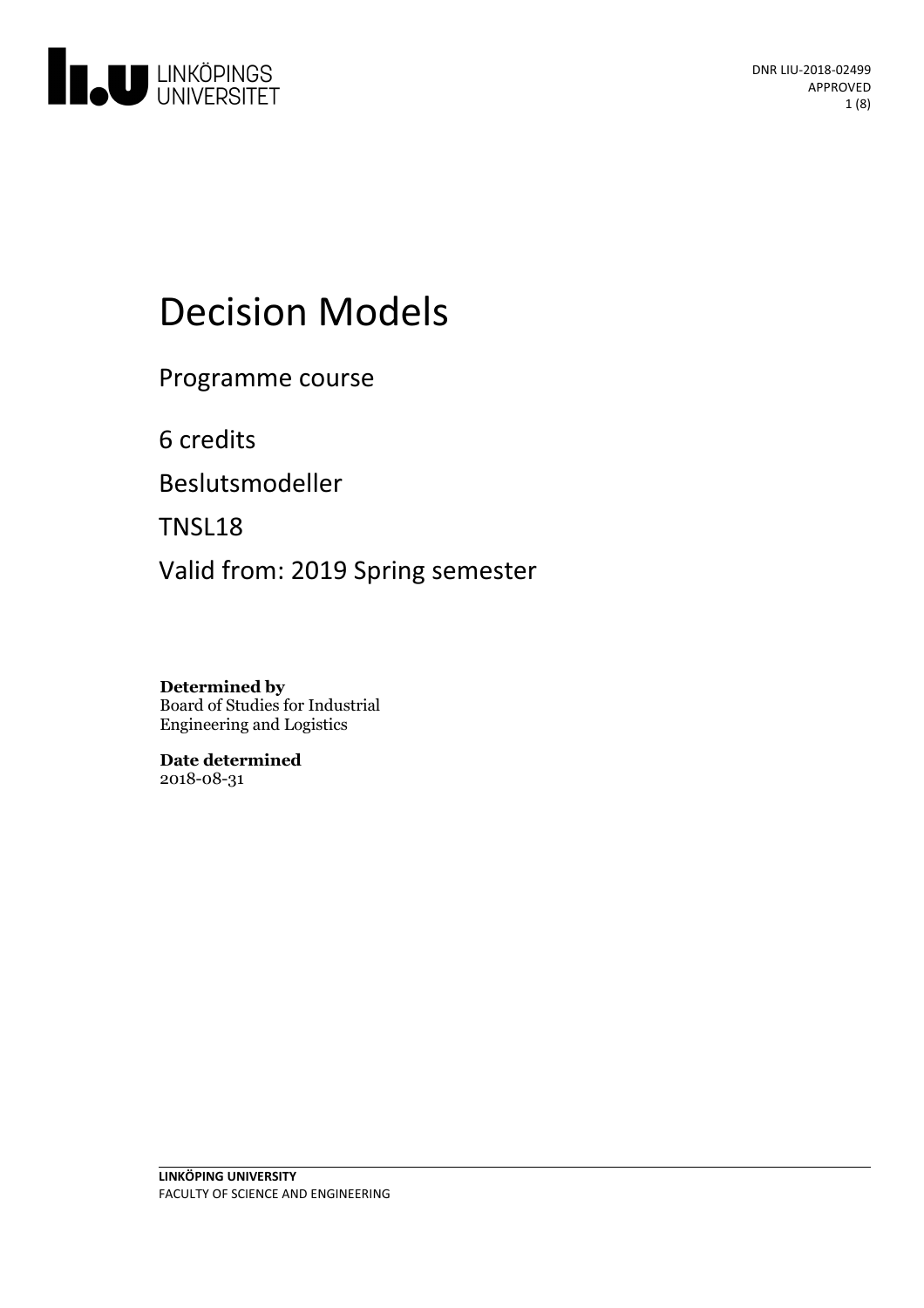

# Decision Models

Programme course

6 credits

Beslutsmodeller

TNSL18

Valid from: 2019 Spring semester

**Determined by** Board of Studies for Industrial Engineering and Logistics

**Date determined** 2018-08-31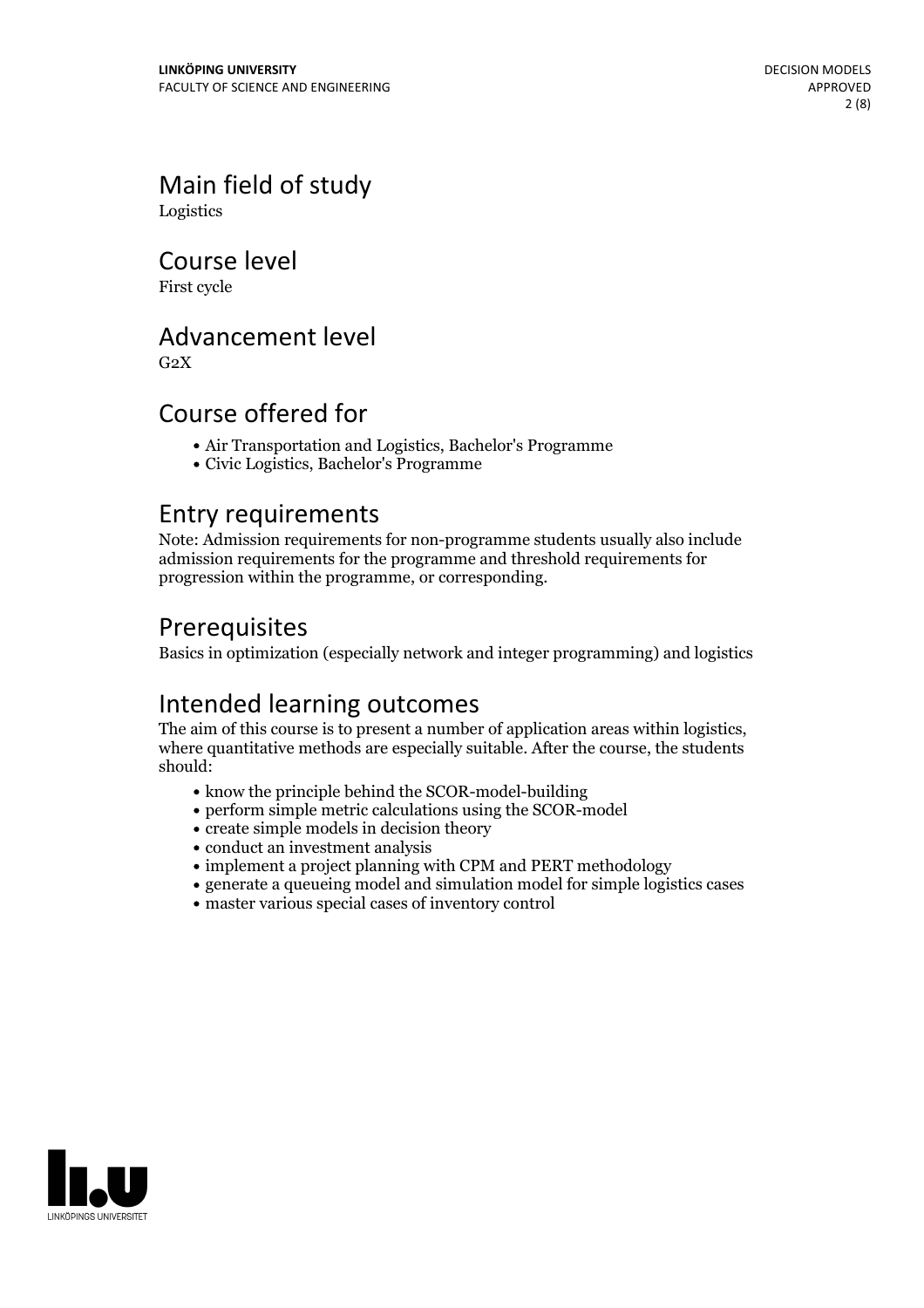Main field of study Logistics

Course level

First cycle

### Advancement level

 $G<sub>2</sub>X$ 

### Course offered for

- Air Transportation and Logistics, Bachelor's Programme
- Civic Logistics, Bachelor's Programme

### Entry requirements

Note: Admission requirements for non-programme students usually also include admission requirements for the programme and threshold requirements for progression within the programme, or corresponding.

### Prerequisites

Basics in optimization (especially network and integer programming) and logistics

Intended learning outcomes<br>The aim of this course is to present a number of application areas within logistics, where quantitative methods are especially suitable. After the course, the students should:

- know the principle behind the SCOR-model-building
- perform simple metric calculations using the SCOR-model
- create simple models in decision theory
- conduct an investment analysis
- implement a project planning with CPM and PERT methodology
- generate a queueing model and simulation model for simple logistics cases
- master various special cases of inventory control

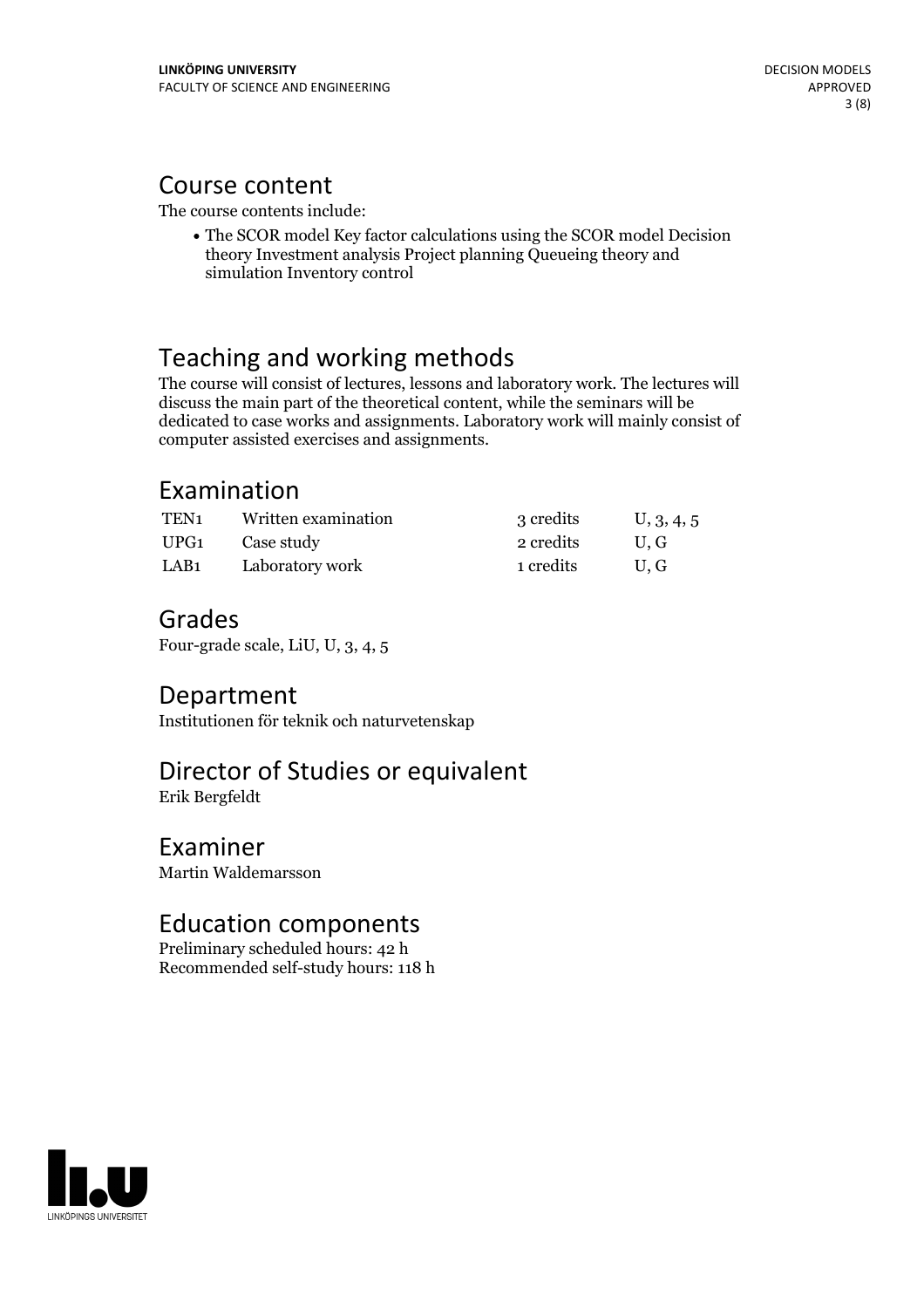### Course content

The course contents include:

 $\bullet$  The SCOR model Key factor calculations using the SCOR model Decision theory Investment analysis Project planning Queueing theory and simulation Inventory control

### Teaching and working methods

The course will consist of lectures, lessons and laboratory work. The lectures will discuss the main part of the theoretical content, while the seminars will be dedicated to case works and assignments. Laboratory work willmainly consist of computer assisted exercises and assignments.

### Examination

| TEN1 | Written examination | 3 credits | U, 3, 4, 5 |
|------|---------------------|-----------|------------|
| UPG1 | Case study          | 2 credits | U.G        |
| LAB1 | Laboratory work     | 1 credits | U.G        |

### Grades

Four-grade scale, LiU, U, 3, 4, 5

### Department

Institutionen för teknik och naturvetenskap

### Director of Studies or equivalent

Erik Bergfeldt

### Examiner

Martin Waldemarsson

### Education components

Preliminary scheduled hours: 42 h Recommended self-study hours: 118 h

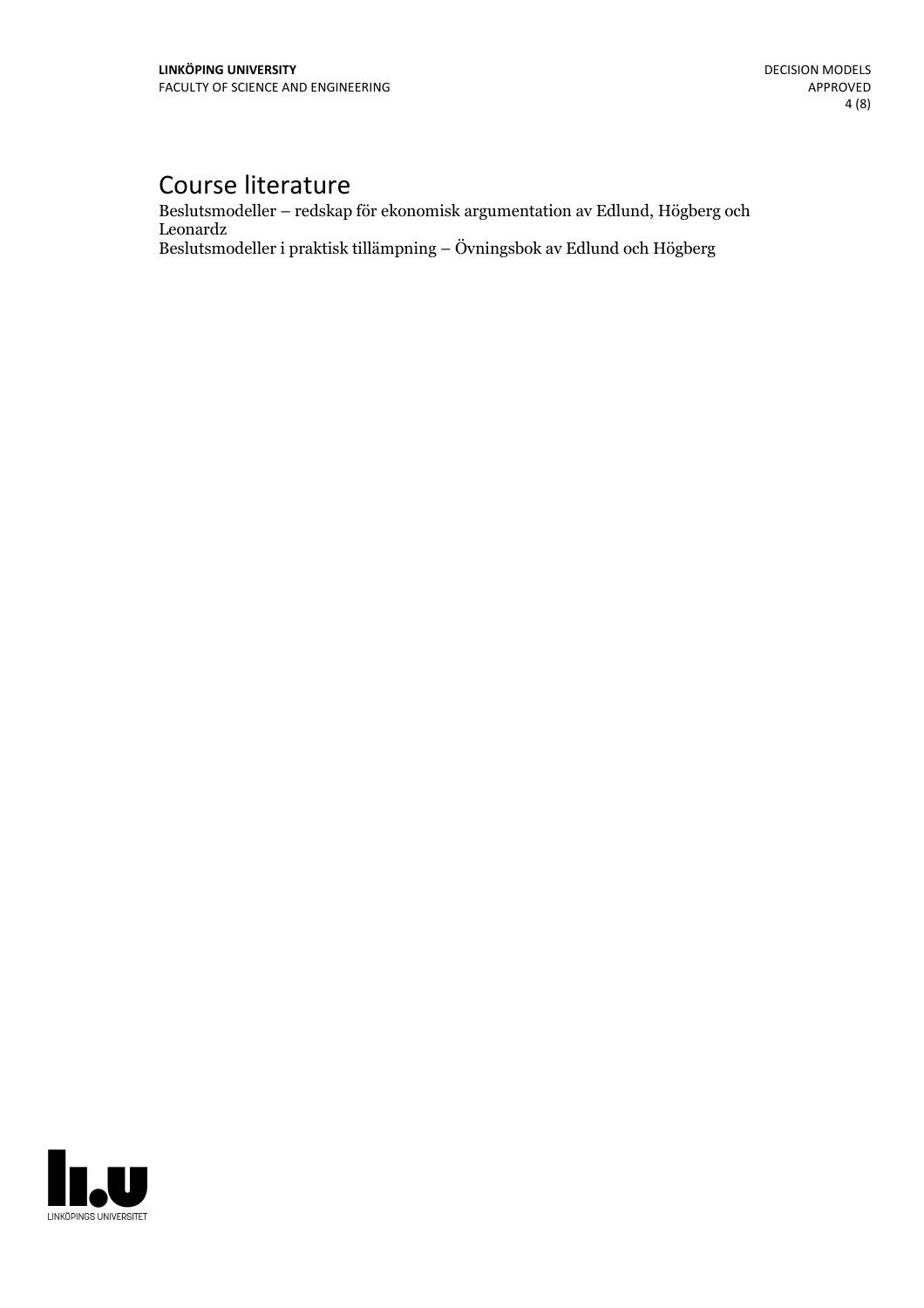## Course literature

Beslutsmodeller – redskap för ekonomisk argumentation av Edlund, Högberg och Leonardz Beslutsmodeller i praktisk tillämpning – Övningsbok av Edlund och Högberg

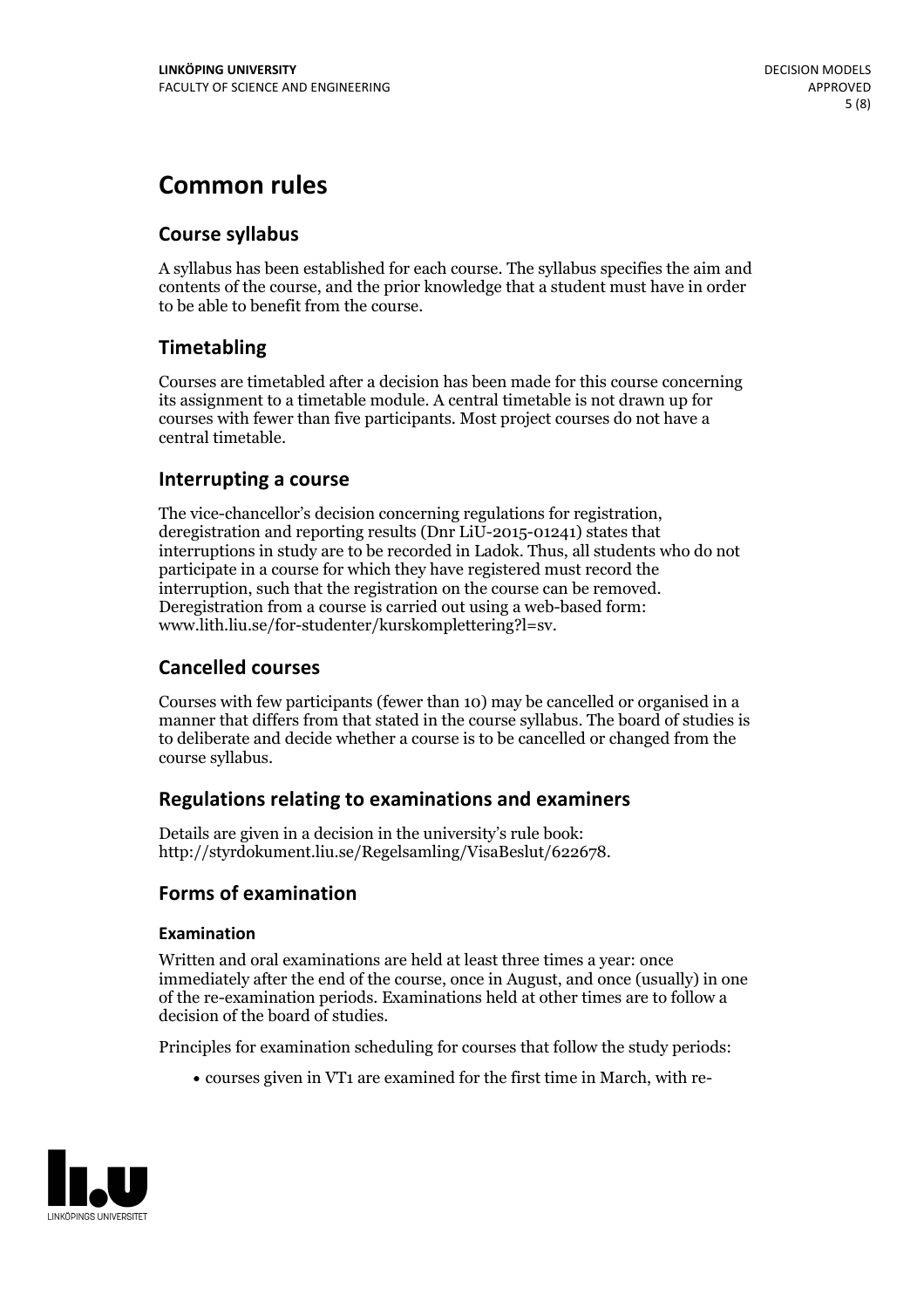## **Common rules**

### **Course syllabus**

A syllabus has been established for each course. The syllabus specifies the aim and contents of the course, and the prior knowledge that a student must have in order to be able to benefit from the course.

### **Timetabling**

Courses are timetabled after a decision has been made for this course concerning its assignment to a timetable module. A central timetable is not drawn up for courses with fewer than five participants. Most project courses do not have a central timetable.

#### **Interrupting a course**

The vice-chancellor's decision concerning regulations for registration, deregistration and reporting results (Dnr LiU-2015-01241) states that interruptions in study are to be recorded in Ladok. Thus, all students who do not participate in a course for which they have registered must record the interruption, such that the registration on the course can be removed. Deregistration from <sup>a</sup> course is carried outusing <sup>a</sup> web-based form: www.lith.liu.se/for-studenter/kurskomplettering?l=sv.

#### **Cancelled courses**

Courses with few participants (fewer than 10) may be cancelled or organised in a manner that differs from that stated in the course syllabus. The board of studies is to deliberate and decide whether a course is to be cancelled orchanged from the course syllabus.

#### **Regulations relatingto examinations and examiners**

Details are given in a decision in the university's rule book: http://styrdokument.liu.se/Regelsamling/VisaBeslut/622678.

#### **Forms of examination**

#### **Examination**

Written and oral examinations are held at least three times a year: once immediately after the end of the course, once in August, and once (usually) in one of the re-examination periods. Examinations held at other times are to follow a decision of the board of studies.

Principles for examination scheduling for courses that follow the study periods:

courses given in VT1 are examined for the first time in March, with re-

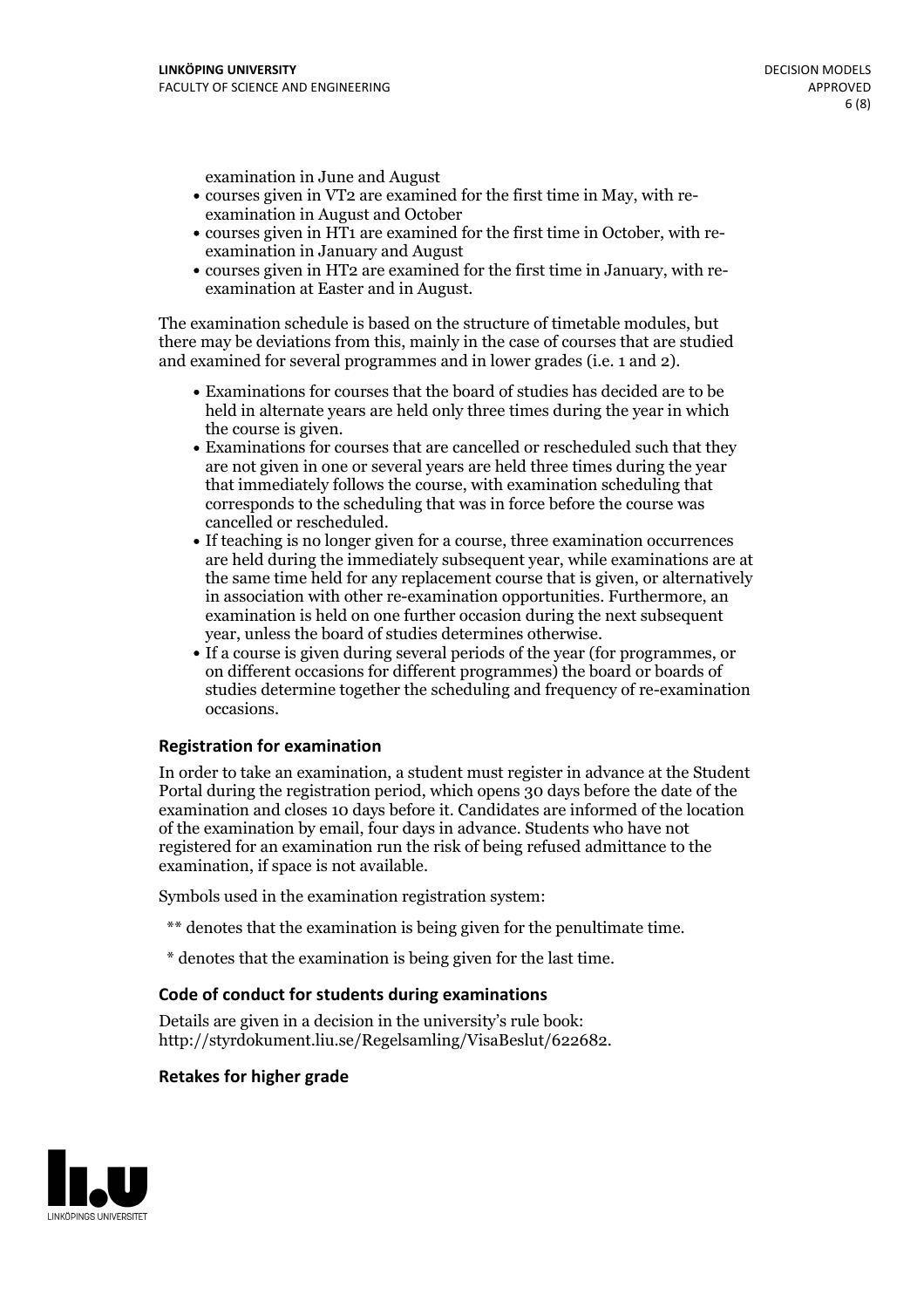examination in June and August

- courses given in VT2 are examined for the first time in May, with re-examination in August and October
- courses given in HT1 are examined for the first time in October, with re-examination in January and August
- courses given in HT2 are examined for the first time in January, with re-examination at Easter and in August.

The examination schedule is based on the structure of timetable modules, but there may be deviations from this, mainly in the case of courses that are studied and examined for several programmes and in lower grades (i.e. 1 and 2).

- Examinations for courses that the board of studies has decided are to be held in alternate years are held only three times during the year in which
- the course is given.<br>• Examinations for courses that are cancelled or rescheduled such that they are not given in one or several years are held three times during the year that immediately follows the course, with examination scheduling that corresponds to the scheduling that was in force before the course was cancelled or rescheduled.<br>• If teaching is no longer given for a course, three examination occurrences
- are held during the immediately subsequent year, while examinations are at the same time held for any replacement course that is given, or alternatively in association with other re-examination opportunities. Furthermore, an examination is held on one further occasion during the next subsequent year, unless the board of studies determines otherwise.<br>• If a course is given during several periods of the year (for programmes, or
- on different occasions for different programmes) the board orboards of studies determine together the scheduling and frequency of re-examination occasions.

#### **Registration for examination**

In order to take an examination, a student must register in advance at the Student Portal during the registration period, which opens 30 days before the date of the examination and closes 10 days before it. Candidates are informed of the location of the examination by email, four days in advance. Students who have not registered for an examination run the risk of being refused admittance to the examination, if space is not available.

Symbols used in the examination registration system:

- \*\* denotes that the examination is being given for the penultimate time.
- \* denotes that the examination is being given for the last time.

#### **Code of conduct for students during examinations**

Details are given in a decision in the university's rule book: http://styrdokument.liu.se/Regelsamling/VisaBeslut/622682.

#### **Retakes for higher grade**

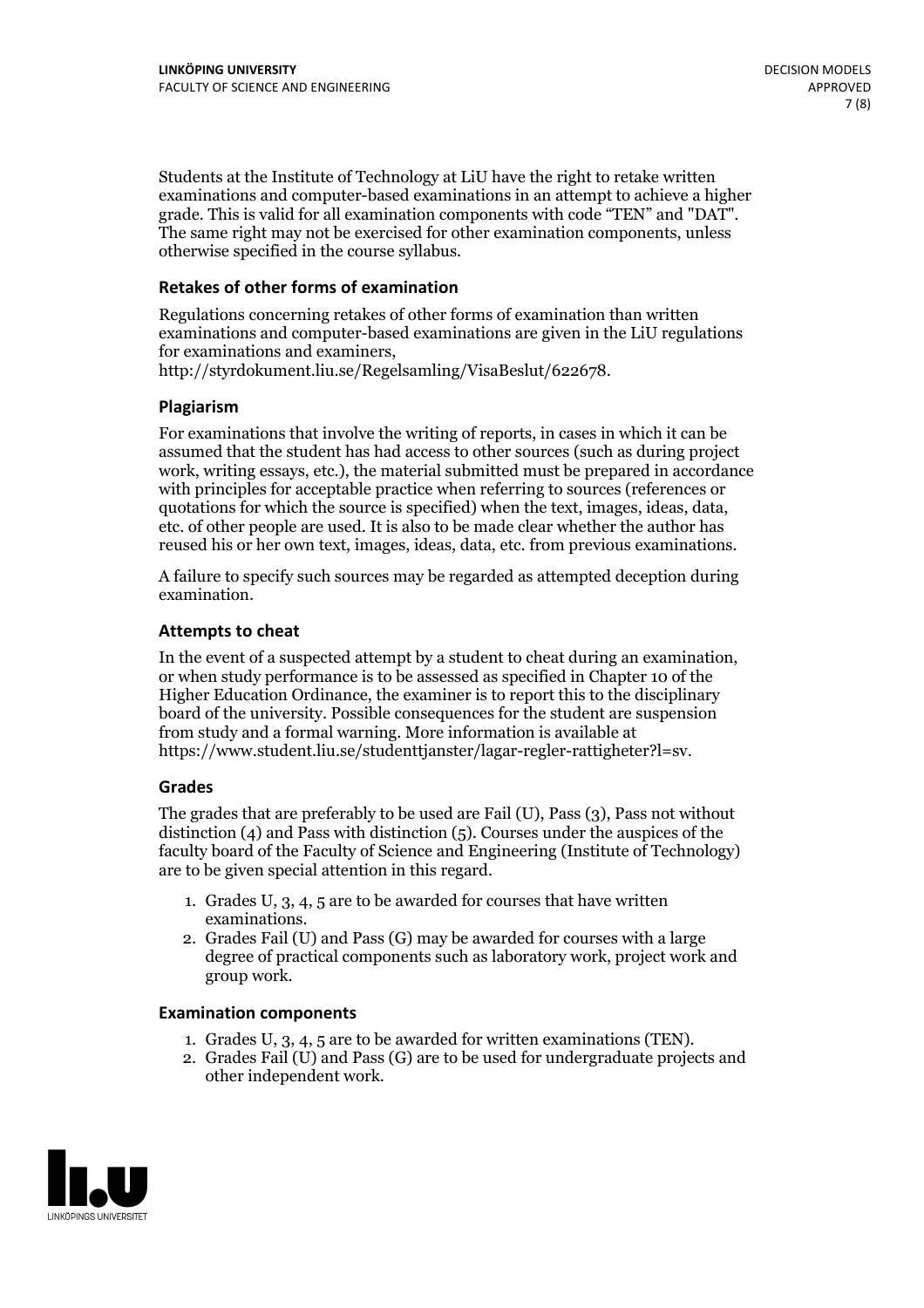Students at the Institute of Technology at LiU have the right to retake written examinations and computer-based examinations in an attempt to achieve a higher grade. This is valid for all examination components with code "TEN" and "DAT". The same right may not be exercised for other examination components, unless otherwise specified in the course syllabus.

#### **Retakes of other forms of examination**

Regulations concerning retakes of other forms of examination than written examinations and computer-based examinations are given in the LiU regulations for examinations and examiners, http://styrdokument.liu.se/Regelsamling/VisaBeslut/622678.

#### **Plagiarism**

For examinations that involve the writing of reports, in cases in which it can be assumed that the student has had access to other sources (such as during project work, writing essays, etc.), the material submitted must be prepared in accordance with principles for acceptable practice when referring to sources (references or quotations for which the source is specified) when the text, images, ideas, data, etc. of other people are used. It is also to be made clear whether the author has reused his or her own text, images, ideas, data, etc. from previous examinations.

A failure to specify such sources may be regarded as attempted deception during examination.

#### **Attempts to cheat**

In the event of <sup>a</sup> suspected attempt by <sup>a</sup> student to cheat during an examination, or when study performance is to be assessed as specified in Chapter <sup>10</sup> of the Higher Education Ordinance, the examiner is to report this to the disciplinary board of the university. Possible consequences for the student are suspension from study and a formal warning. More information is available at https://www.student.liu.se/studenttjanster/lagar-regler-rattigheter?l=sv.

#### **Grades**

The grades that are preferably to be used are Fail (U), Pass (3), Pass not without distinction  $(4)$  and Pass with distinction  $(5)$ . Courses under the auspices of the faculty board of the Faculty of Science and Engineering (Institute of Technology) are to be given special attention in this regard.

- 1. Grades U, 3, 4, 5 are to be awarded for courses that have written
- examinations. 2. Grades Fail (U) and Pass (G) may be awarded for courses with <sup>a</sup> large degree of practical components such as laboratory work, project work and group work.

#### **Examination components**

- 
- 1. Grades U, 3, 4, <sup>5</sup> are to be awarded for written examinations (TEN). 2. Grades Fail (U) and Pass (G) are to be used for undergraduate projects and other independent work.